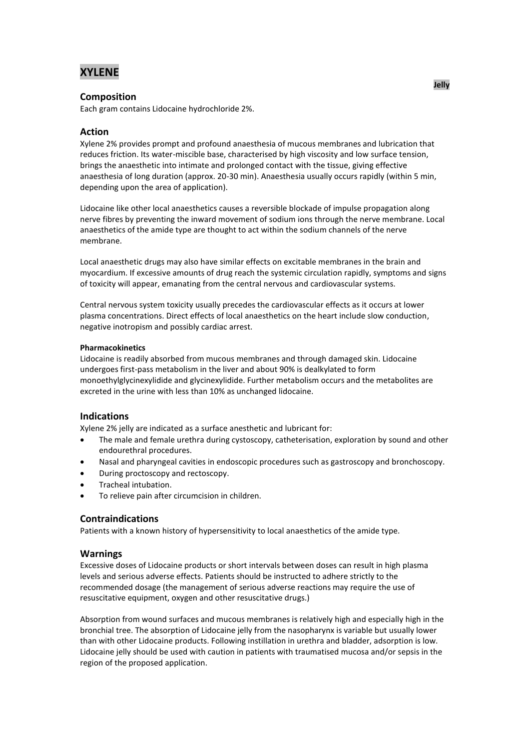# **XYLENE**

# **Composition**

Each gram contains Lidocaine hydrochloride 2%.

# **Action**

Xylene 2% provides prompt and profound anaesthesia of mucous membranes and lubrication that reduces friction. Its water-miscible base, characterised by high viscosity and low surface tension, brings the anaesthetic into intimate and prolonged contact with the tissue, giving effective anaesthesia of long duration (approx. 20-30 min). Anaesthesia usually occurs rapidly (within 5 min, depending upon the area of application).

Lidocaine like other local anaesthetics causes a reversible blockade of impulse propagation along nerve fibres by preventing the inward movement of sodium ions through the nerve membrane. Local anaesthetics of the amide type are thought to act within the sodium channels of the nerve membrane.

Local anaesthetic drugs may also have similar effects on excitable membranes in the brain and myocardium. If excessive amounts of drug reach the systemic circulation rapidly, symptoms and signs of toxicity will appear, emanating from the central nervous and cardiovascular systems.

Central nervous system toxicity usually precedes the cardiovascular effects as it occurs at lower plasma concentrations. Direct effects of local anaesthetics on the heart include slow conduction, negative inotropism and possibly cardiac arrest.

## **Pharmacokinetics**

Lidocaine is readily absorbed from mucous membranes and through damaged skin. Lidocaine undergoes first-pass metabolism in the liver and about 90% is dealkylated to form monoethylglycinexylidide and glycinexylidide. Further metabolism occurs and the metabolites are excreted in the urine with less than 10% as unchanged lidocaine.

## **Indications**

Xylene 2% jelly are indicated as a surface anesthetic and lubricant for:

- The male and female urethra during cystoscopy, catheterisation, exploration by sound and other endourethral procedures.
- Nasal and pharyngeal cavities in endoscopic procedures such as gastroscopy and bronchoscopy.
- During proctoscopy and rectoscopy.
- Tracheal intubation.
- To relieve pain after circumcision in children.

## **Contraindications**

Patients with a known history of hypersensitivity to local anaesthetics of the amide type.

## **Warnings**

Excessive doses of Lidocaine products or short intervals between doses can result in high plasma levels and serious adverse effects. Patients should be instructed to adhere strictly to the recommended dosage (the management of serious adverse reactions may require the use of resuscitative equipment, oxygen and other resuscitative drugs.)

Absorption from wound surfaces and mucous membranes is relatively high and especially high in the bronchial tree. The absorption of Lidocaine jelly from the nasopharynx is variable but usually lower than with other Lidocaine products. Following instillation in urethra and bladder, adsorption is low. Lidocaine jelly should be used with caution in patients with traumatised mucosa and/or sepsis in the region of the proposed application.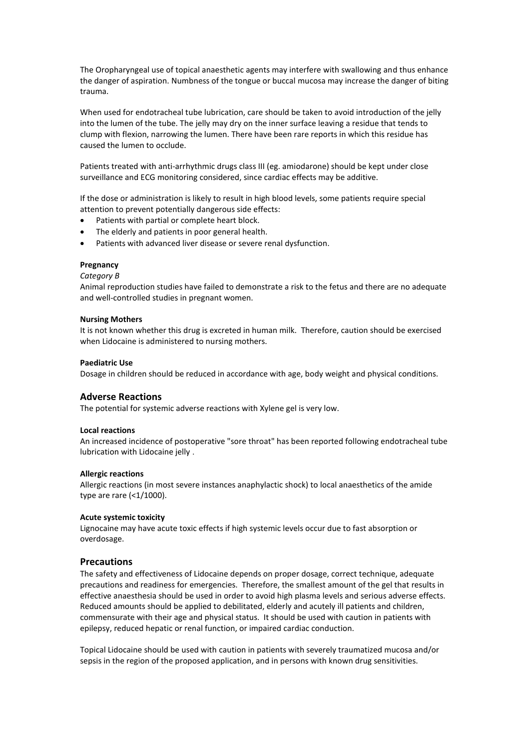The Oropharyngeal use of topical anaesthetic agents may interfere with swallowing and thus enhance the danger of aspiration. Numbness of the tongue or buccal mucosa may increase the danger of biting trauma.

When used for endotracheal tube lubrication, care should be taken to avoid introduction of the jelly into the lumen of the tube. The jelly may dry on the inner surface leaving a residue that tends to clump with flexion, narrowing the lumen. There have been rare reports in which this residue has caused the lumen to occlude.

Patients treated with anti-arrhythmic drugs class III (eg. amiodarone) should be kept under close surveillance and ECG monitoring considered, since cardiac effects may be additive.

If the dose or administration is likely to result in high blood levels, some patients require special attention to prevent potentially dangerous side effects:

- Patients with partial or complete heart block.
- The elderly and patients in poor general health.
- Patients with advanced liver disease or severe renal dysfunction.

### **Pregnancy**

#### *Category B*

Animal reproduction studies have failed to demonstrate a risk to the fetus and there are no adequate and well-controlled studies in pregnant women.

#### **Nursing Mothers**

It is not known whether this drug is excreted in human milk. Therefore, caution should be exercised when Lidocaine is administered to nursing mothers.

#### **Paediatric Use**

Dosage in children should be reduced in accordance with age, body weight and physical conditions.

## **Adverse Reactions**

The potential for systemic adverse reactions with Xylene gel is very low.

#### **Local reactions**

An increased incidence of postoperative "sore throat" has been reported following endotracheal tube lubrication with Lidocaine jelly .

#### **Allergic reactions**

Allergic reactions (in most severe instances anaphylactic shock) to local anaesthetics of the amide type are rare (<1/1000).

#### **Acute systemic toxicity**

Lignocaine may have acute toxic effects if high systemic levels occur due to fast absorption or overdosage.

## **Precautions**

The safety and effectiveness of Lidocaine depends on proper dosage, correct technique, adequate precautions and readiness for emergencies. Therefore, the smallest amount of the gel that results in effective anaesthesia should be used in order to avoid high plasma levels and serious adverse effects. Reduced amounts should be applied to debilitated, elderly and acutely ill patients and children, commensurate with their age and physical status. It should be used with caution in patients with epilepsy, reduced hepatic or renal function, or impaired cardiac conduction.

Topical Lidocaine should be used with caution in patients with severely traumatized mucosa and/or sepsis in the region of the proposed application, and in persons with known drug sensitivities.